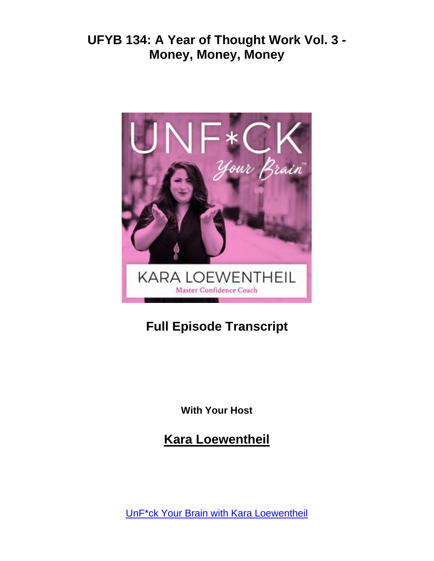

# **Full Episode Transcript**

**With Your Host**

**Kara Loewentheil**

[UnF\\*ck Your Brain with Kara Loewentheil](https://unfuckyourbrain.com/podcast/)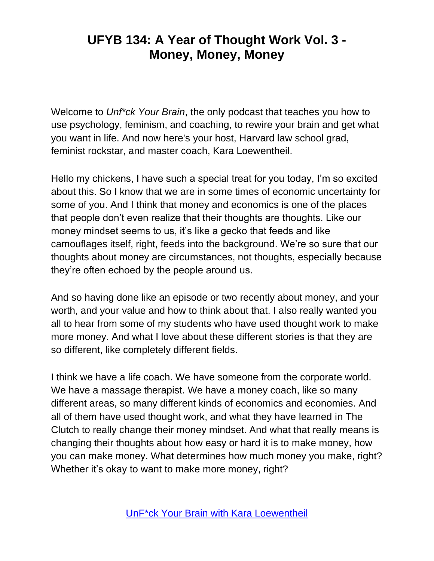Welcome to *Unf\*ck Your Brain*, the only podcast that teaches you how to use psychology, feminism, and coaching, to rewire your brain and get what you want in life. And now here's your host, Harvard law school grad, feminist rockstar, and master coach, Kara Loewentheil.

Hello my chickens, I have such a special treat for you today, I'm so excited about this. So I know that we are in some times of economic uncertainty for some of you. And I think that money and economics is one of the places that people don't even realize that their thoughts are thoughts. Like our money mindset seems to us, it's like a gecko that feeds and like camouflages itself, right, feeds into the background. We're so sure that our thoughts about money are circumstances, not thoughts, especially because they're often echoed by the people around us.

And so having done like an episode or two recently about money, and your worth, and your value and how to think about that. I also really wanted you all to hear from some of my students who have used thought work to make more money. And what I love about these different stories is that they are so different, like completely different fields.

I think we have a life coach. We have someone from the corporate world. We have a massage therapist. We have a money coach, like so many different areas, so many different kinds of economics and economies. And all of them have used thought work, and what they have learned in The Clutch to really change their money mindset. And what that really means is changing their thoughts about how easy or hard it is to make money, how you can make money. What determines how much money you make, right? Whether it's okay to want to make more money, right?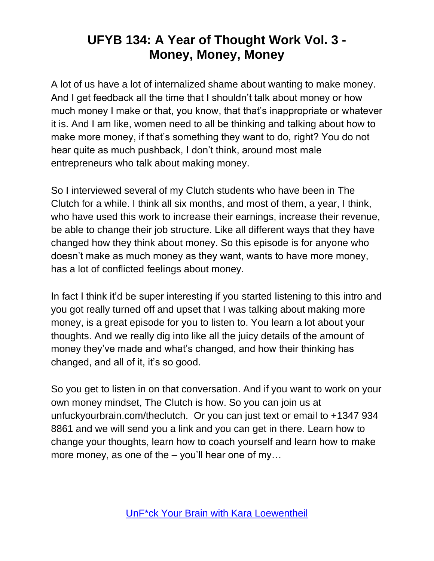A lot of us have a lot of internalized shame about wanting to make money. And I get feedback all the time that I shouldn't talk about money or how much money I make or that, you know, that that's inappropriate or whatever it is. And I am like, women need to all be thinking and talking about how to make more money, if that's something they want to do, right? You do not hear quite as much pushback, I don't think, around most male entrepreneurs who talk about making money.

So I interviewed several of my Clutch students who have been in The Clutch for a while. I think all six months, and most of them, a year, I think, who have used this work to increase their earnings, increase their revenue, be able to change their job structure. Like all different ways that they have changed how they think about money. So this episode is for anyone who doesn't make as much money as they want, wants to have more money, has a lot of conflicted feelings about money.

In fact I think it'd be super interesting if you started listening to this intro and you got really turned off and upset that I was talking about making more money, is a great episode for you to listen to. You learn a lot about your thoughts. And we really dig into like all the juicy details of the amount of money they've made and what's changed, and how their thinking has changed, and all of it, it's so good.

So you get to listen in on that conversation. And if you want to work on your own money mindset, The Clutch is how. So you can join us at unfuckyourbrain.com/theclutch. Or you can just text or email to +1347 934 8861 and we will send you a link and you can get in there. Learn how to change your thoughts, learn how to coach yourself and learn how to make more money, as one of the – you'll hear one of my…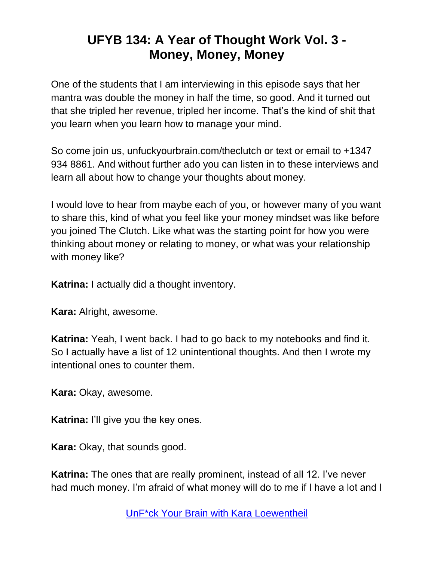One of the students that I am interviewing in this episode says that her mantra was double the money in half the time, so good. And it turned out that she tripled her revenue, tripled her income. That's the kind of shit that you learn when you learn how to manage your mind.

So come join us, unfuckyourbrain.com/theclutch or text or email to +1347 934 8861. And without further ado you can listen in to these interviews and learn all about how to change your thoughts about money.

I would love to hear from maybe each of you, or however many of you want to share this, kind of what you feel like your money mindset was like before you joined The Clutch. Like what was the starting point for how you were thinking about money or relating to money, or what was your relationship with money like?

**Katrina:** I actually did a thought inventory.

**Kara:** Alright, awesome.

**Katrina:** Yeah, I went back. I had to go back to my notebooks and find it. So I actually have a list of 12 unintentional thoughts. And then I wrote my intentional ones to counter them.

**Kara:** Okay, awesome.

**Katrina:** I'll give you the key ones.

**Kara:** Okay, that sounds good.

**Katrina:** The ones that are really prominent, instead of all 12. I've never had much money. I'm afraid of what money will do to me if I have a lot and I

[UnF\\*ck Your Brain with Kara Loewentheil](https://unfuckyourbrain.com/podcast/)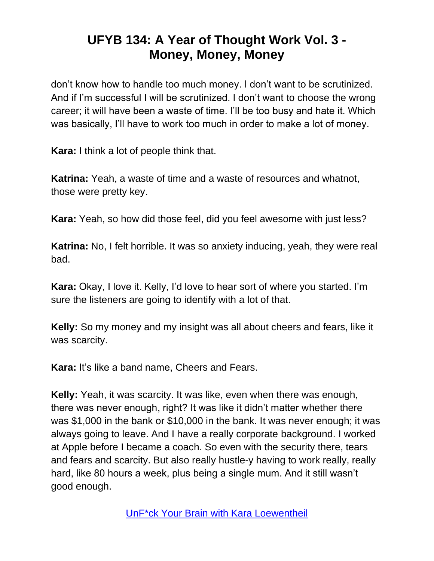don't know how to handle too much money. I don't want to be scrutinized. And if I'm successful I will be scrutinized. I don't want to choose the wrong career; it will have been a waste of time. I'll be too busy and hate it. Which was basically, I'll have to work too much in order to make a lot of money.

**Kara:** I think a lot of people think that.

**Katrina:** Yeah, a waste of time and a waste of resources and whatnot, those were pretty key.

**Kara:** Yeah, so how did those feel, did you feel awesome with just less?

**Katrina:** No, I felt horrible. It was so anxiety inducing, yeah, they were real bad.

**Kara:** Okay, I love it. Kelly, I'd love to hear sort of where you started. I'm sure the listeners are going to identify with a lot of that.

**Kelly:** So my money and my insight was all about cheers and fears, like it was scarcity.

**Kara:** It's like a band name, Cheers and Fears.

**Kelly:** Yeah, it was scarcity. It was like, even when there was enough, there was never enough, right? It was like it didn't matter whether there was \$1,000 in the bank or \$10,000 in the bank. It was never enough; it was always going to leave. And I have a really corporate background. I worked at Apple before I became a coach. So even with the security there, tears and fears and scarcity. But also really hustle-y having to work really, really hard, like 80 hours a week, plus being a single mum. And it still wasn't good enough.

[UnF\\*ck Your Brain with Kara Loewentheil](https://unfuckyourbrain.com/podcast/)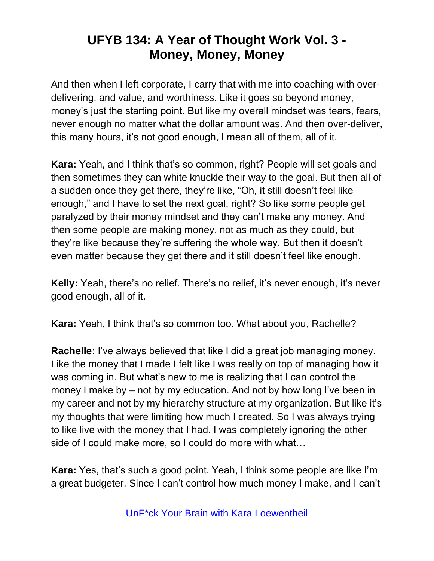And then when I left corporate, I carry that with me into coaching with overdelivering, and value, and worthiness. Like it goes so beyond money, money's just the starting point. But like my overall mindset was tears, fears, never enough no matter what the dollar amount was. And then over-deliver, this many hours, it's not good enough, I mean all of them, all of it.

**Kara:** Yeah, and I think that's so common, right? People will set goals and then sometimes they can white knuckle their way to the goal. But then all of a sudden once they get there, they're like, "Oh, it still doesn't feel like enough," and I have to set the next goal, right? So like some people get paralyzed by their money mindset and they can't make any money. And then some people are making money, not as much as they could, but they're like because they're suffering the whole way. But then it doesn't even matter because they get there and it still doesn't feel like enough.

**Kelly:** Yeah, there's no relief. There's no relief, it's never enough, it's never good enough, all of it.

**Kara:** Yeah, I think that's so common too. What about you, Rachelle?

**Rachelle:** I've always believed that like I did a great job managing money. Like the money that I made I felt like I was really on top of managing how it was coming in. But what's new to me is realizing that I can control the money I make by – not by my education. And not by how long I've been in my career and not by my hierarchy structure at my organization. But like it's my thoughts that were limiting how much I created. So I was always trying to like live with the money that I had. I was completely ignoring the other side of I could make more, so I could do more with what...

**Kara:** Yes, that's such a good point. Yeah, I think some people are like I'm a great budgeter. Since I can't control how much money I make, and I can't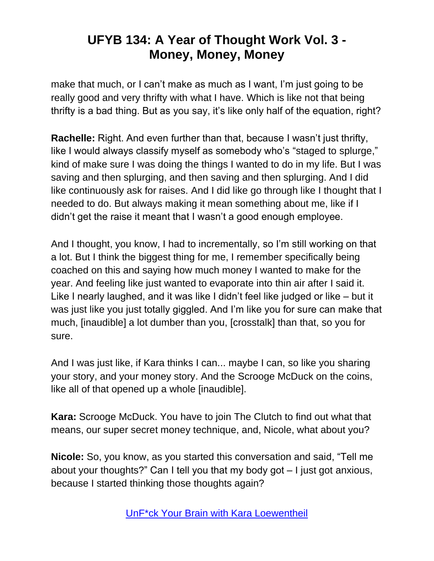make that much, or I can't make as much as I want, I'm just going to be really good and very thrifty with what I have. Which is like not that being thrifty is a bad thing. But as you say, it's like only half of the equation, right?

**Rachelle:** Right. And even further than that, because I wasn't just thrifty, like I would always classify myself as somebody who's "staged to splurge," kind of make sure I was doing the things I wanted to do in my life. But I was saving and then splurging, and then saving and then splurging. And I did like continuously ask for raises. And I did like go through like I thought that I needed to do. But always making it mean something about me, like if I didn't get the raise it meant that I wasn't a good enough employee.

And I thought, you know, I had to incrementally, so I'm still working on that a lot. But I think the biggest thing for me, I remember specifically being coached on this and saying how much money I wanted to make for the year. And feeling like just wanted to evaporate into thin air after I said it. Like I nearly laughed, and it was like I didn't feel like judged or like – but it was just like you just totally giggled. And I'm like you for sure can make that much, [inaudible] a lot dumber than you, [crosstalk] than that, so you for sure.

And I was just like, if Kara thinks I can... maybe I can, so like you sharing your story, and your money story. And the Scrooge McDuck on the coins, like all of that opened up a whole [inaudible].

**Kara:** Scrooge McDuck. You have to join The Clutch to find out what that means, our super secret money technique, and, Nicole, what about you?

**Nicole:** So, you know, as you started this conversation and said, "Tell me about your thoughts?" Can I tell you that my body got – I just got anxious, because I started thinking those thoughts again?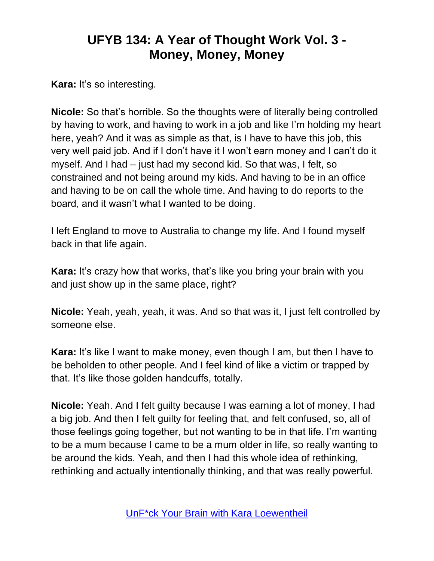**Kara:** It's so interesting.

**Nicole:** So that's horrible. So the thoughts were of literally being controlled by having to work, and having to work in a job and like I'm holding my heart here, yeah? And it was as simple as that, is I have to have this job, this very well paid job. And if I don't have it I won't earn money and I can't do it myself. And I had – just had my second kid. So that was, I felt, so constrained and not being around my kids. And having to be in an office and having to be on call the whole time. And having to do reports to the board, and it wasn't what I wanted to be doing.

I left England to move to Australia to change my life. And I found myself back in that life again.

**Kara:** It's crazy how that works, that's like you bring your brain with you and just show up in the same place, right?

**Nicole:** Yeah, yeah, yeah, it was. And so that was it, I just felt controlled by someone else.

**Kara:** It's like I want to make money, even though I am, but then I have to be beholden to other people. And I feel kind of like a victim or trapped by that. It's like those golden handcuffs, totally.

**Nicole:** Yeah. And I felt guilty because I was earning a lot of money, I had a big job. And then I felt guilty for feeling that, and felt confused, so, all of those feelings going together, but not wanting to be in that life. I'm wanting to be a mum because I came to be a mum older in life, so really wanting to be around the kids. Yeah, and then I had this whole idea of rethinking, rethinking and actually intentionally thinking, and that was really powerful.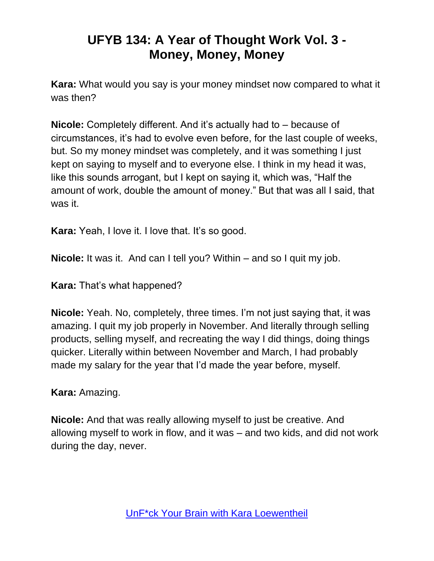**Kara:** What would you say is your money mindset now compared to what it was then?

**Nicole:** Completely different. And it's actually had to – because of circumstances, it's had to evolve even before, for the last couple of weeks, but. So my money mindset was completely, and it was something I just kept on saying to myself and to everyone else. I think in my head it was, like this sounds arrogant, but I kept on saying it, which was, "Half the amount of work, double the amount of money." But that was all I said, that was it.

**Kara:** Yeah, I love it. I love that. It's so good.

**Nicole:** It was it. And can I tell you? Within – and so I quit my job.

**Kara:** That's what happened?

**Nicole:** Yeah. No, completely, three times. I'm not just saying that, it was amazing. I quit my job properly in November. And literally through selling products, selling myself, and recreating the way I did things, doing things quicker. Literally within between November and March, I had probably made my salary for the year that I'd made the year before, myself.

**Kara:** Amazing.

**Nicole:** And that was really allowing myself to just be creative. And allowing myself to work in flow, and it was – and two kids, and did not work during the day, never.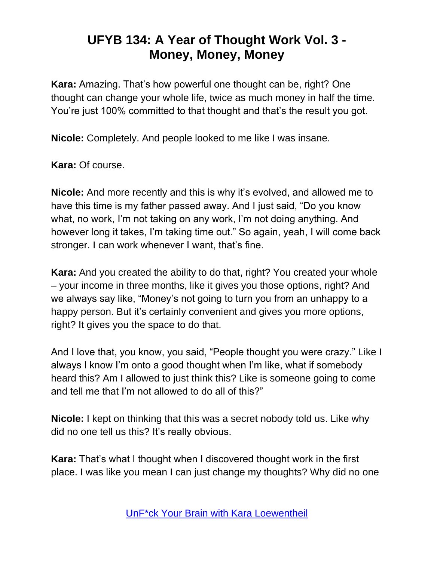**Kara:** Amazing. That's how powerful one thought can be, right? One thought can change your whole life, twice as much money in half the time. You're just 100% committed to that thought and that's the result you got.

**Nicole:** Completely. And people looked to me like I was insane.

**Kara:** Of course.

**Nicole:** And more recently and this is why it's evolved, and allowed me to have this time is my father passed away. And I just said, "Do you know what, no work, I'm not taking on any work, I'm not doing anything. And however long it takes, I'm taking time out." So again, yeah, I will come back stronger. I can work whenever I want, that's fine.

**Kara:** And you created the ability to do that, right? You created your whole – your income in three months, like it gives you those options, right? And we always say like, "Money's not going to turn you from an unhappy to a happy person. But it's certainly convenient and gives you more options, right? It gives you the space to do that.

And I love that, you know, you said, "People thought you were crazy." Like I always I know I'm onto a good thought when I'm like, what if somebody heard this? Am I allowed to just think this? Like is someone going to come and tell me that I'm not allowed to do all of this?"

**Nicole:** I kept on thinking that this was a secret nobody told us. Like why did no one tell us this? It's really obvious.

**Kara:** That's what I thought when I discovered thought work in the first place. I was like you mean I can just change my thoughts? Why did no one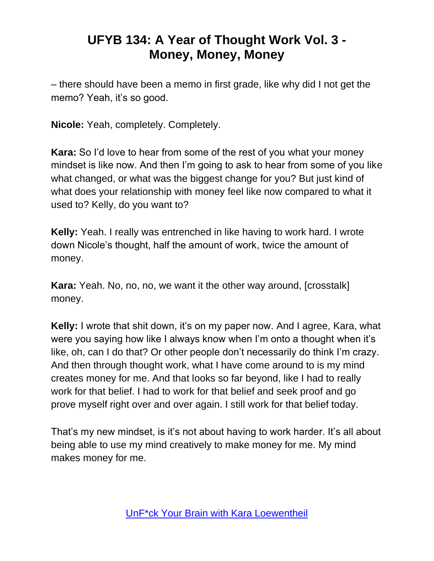– there should have been a memo in first grade, like why did I not get the memo? Yeah, it's so good.

**Nicole:** Yeah, completely. Completely.

**Kara:** So I'd love to hear from some of the rest of you what your money mindset is like now. And then I'm going to ask to hear from some of you like what changed, or what was the biggest change for you? But just kind of what does your relationship with money feel like now compared to what it used to? Kelly, do you want to?

**Kelly:** Yeah. I really was entrenched in like having to work hard. I wrote down Nicole's thought, half the amount of work, twice the amount of money.

**Kara:** Yeah. No, no, no, we want it the other way around, [crosstalk] money.

**Kelly:** I wrote that shit down, it's on my paper now. And I agree, Kara, what were you saying how like I always know when I'm onto a thought when it's like, oh, can I do that? Or other people don't necessarily do think I'm crazy. And then through thought work, what I have come around to is my mind creates money for me. And that looks so far beyond, like I had to really work for that belief. I had to work for that belief and seek proof and go prove myself right over and over again. I still work for that belief today.

That's my new mindset, is it's not about having to work harder. It's all about being able to use my mind creatively to make money for me. My mind makes money for me.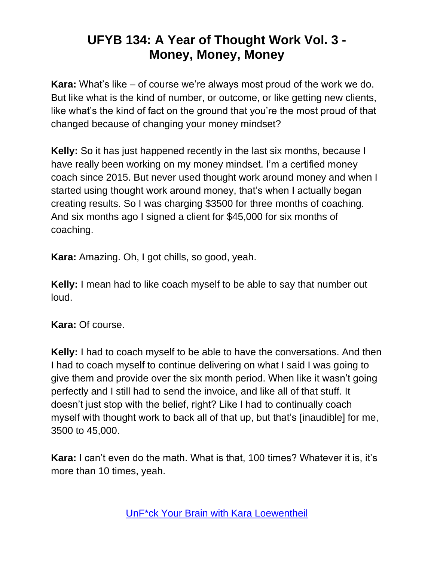**Kara:** What's like – of course we're always most proud of the work we do. But like what is the kind of number, or outcome, or like getting new clients, like what's the kind of fact on the ground that you're the most proud of that changed because of changing your money mindset?

**Kelly:** So it has just happened recently in the last six months, because I have really been working on my money mindset. I'm a certified money coach since 2015. But never used thought work around money and when I started using thought work around money, that's when I actually began creating results. So I was charging \$3500 for three months of coaching. And six months ago I signed a client for \$45,000 for six months of coaching.

**Kara:** Amazing. Oh, I got chills, so good, yeah.

**Kelly:** I mean had to like coach myself to be able to say that number out loud.

#### **Kara:** Of course.

**Kelly:** I had to coach myself to be able to have the conversations. And then I had to coach myself to continue delivering on what I said I was going to give them and provide over the six month period. When like it wasn't going perfectly and I still had to send the invoice, and like all of that stuff. It doesn't just stop with the belief, right? Like I had to continually coach myself with thought work to back all of that up, but that's [inaudible] for me, 3500 to 45,000.

**Kara:** I can't even do the math. What is that, 100 times? Whatever it is, it's more than 10 times, yeah.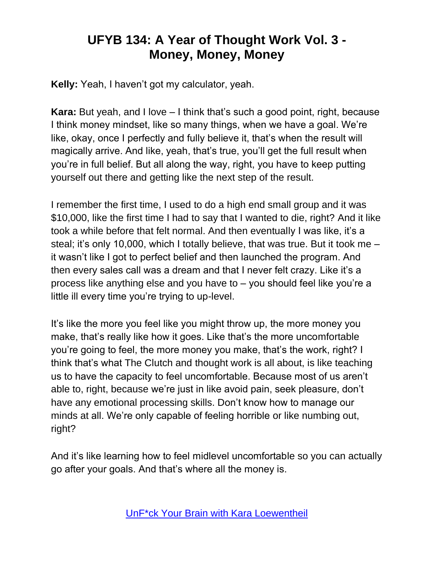**Kelly:** Yeah, I haven't got my calculator, yeah.

**Kara:** But yeah, and I love – I think that's such a good point, right, because I think money mindset, like so many things, when we have a goal. We're like, okay, once I perfectly and fully believe it, that's when the result will magically arrive. And like, yeah, that's true, you'll get the full result when you're in full belief. But all along the way, right, you have to keep putting yourself out there and getting like the next step of the result.

I remember the first time, I used to do a high end small group and it was \$10,000, like the first time I had to say that I wanted to die, right? And it like took a while before that felt normal. And then eventually I was like, it's a steal; it's only 10,000, which I totally believe, that was true. But it took me – it wasn't like I got to perfect belief and then launched the program. And then every sales call was a dream and that I never felt crazy. Like it's a process like anything else and you have to – you should feel like you're a little ill every time you're trying to up-level.

It's like the more you feel like you might throw up, the more money you make, that's really like how it goes. Like that's the more uncomfortable you're going to feel, the more money you make, that's the work, right? I think that's what The Clutch and thought work is all about, is like teaching us to have the capacity to feel uncomfortable. Because most of us aren't able to, right, because we're just in like avoid pain, seek pleasure, don't have any emotional processing skills. Don't know how to manage our minds at all. We're only capable of feeling horrible or like numbing out, right?

And it's like learning how to feel midlevel uncomfortable so you can actually go after your goals. And that's where all the money is.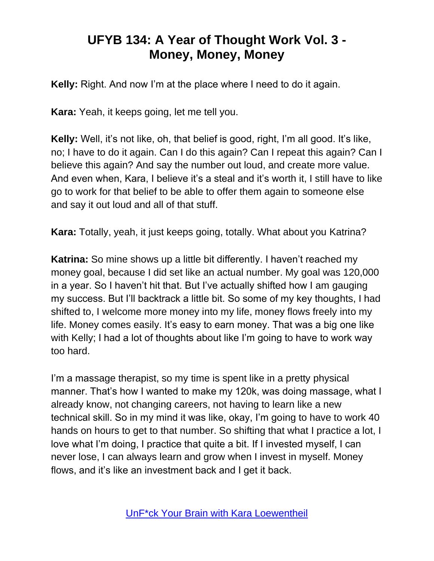**Kelly:** Right. And now I'm at the place where I need to do it again.

**Kara:** Yeah, it keeps going, let me tell you.

**Kelly:** Well, it's not like, oh, that belief is good, right, I'm all good. It's like, no; I have to do it again. Can I do this again? Can I repeat this again? Can I believe this again? And say the number out loud, and create more value. And even when, Kara, I believe it's a steal and it's worth it, I still have to like go to work for that belief to be able to offer them again to someone else and say it out loud and all of that stuff.

**Kara:** Totally, yeah, it just keeps going, totally. What about you Katrina?

**Katrina:** So mine shows up a little bit differently. I haven't reached my money goal, because I did set like an actual number. My goal was 120,000 in a year. So I haven't hit that. But I've actually shifted how I am gauging my success. But I'll backtrack a little bit. So some of my key thoughts, I had shifted to, I welcome more money into my life, money flows freely into my life. Money comes easily. It's easy to earn money. That was a big one like with Kelly; I had a lot of thoughts about like I'm going to have to work way too hard.

I'm a massage therapist, so my time is spent like in a pretty physical manner. That's how I wanted to make my 120k, was doing massage, what I already know, not changing careers, not having to learn like a new technical skill. So in my mind it was like, okay, I'm going to have to work 40 hands on hours to get to that number. So shifting that what I practice a lot, I love what I'm doing, I practice that quite a bit. If I invested myself, I can never lose, I can always learn and grow when I invest in myself. Money flows, and it's like an investment back and I get it back.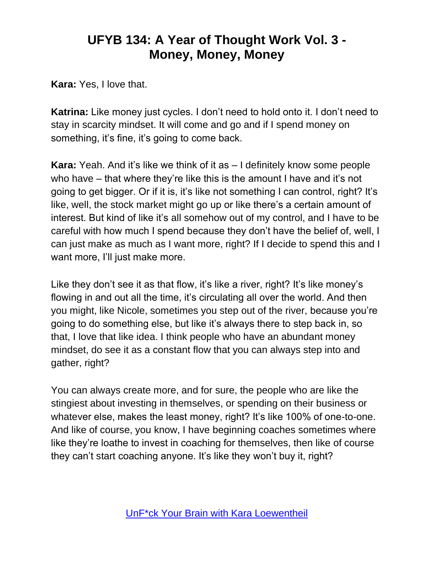**Kara:** Yes, I love that.

**Katrina:** Like money just cycles. I don't need to hold onto it. I don't need to stay in scarcity mindset. It will come and go and if I spend money on something, it's fine, it's going to come back.

**Kara:** Yeah. And it's like we think of it as – I definitely know some people who have – that where they're like this is the amount I have and it's not going to get bigger. Or if it is, it's like not something I can control, right? It's like, well, the stock market might go up or like there's a certain amount of interest. But kind of like it's all somehow out of my control, and I have to be careful with how much I spend because they don't have the belief of, well, I can just make as much as I want more, right? If I decide to spend this and I want more, I'll just make more.

Like they don't see it as that flow, it's like a river, right? It's like money's flowing in and out all the time, it's circulating all over the world. And then you might, like Nicole, sometimes you step out of the river, because you're going to do something else, but like it's always there to step back in, so that, I love that like idea. I think people who have an abundant money mindset, do see it as a constant flow that you can always step into and gather, right?

You can always create more, and for sure, the people who are like the stingiest about investing in themselves, or spending on their business or whatever else, makes the least money, right? It's like 100% of one-to-one. And like of course, you know, I have beginning coaches sometimes where like they're loathe to invest in coaching for themselves, then like of course they can't start coaching anyone. It's like they won't buy it, right?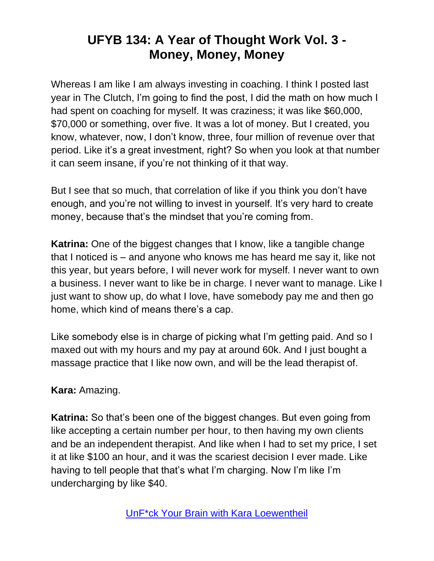Whereas I am like I am always investing in coaching. I think I posted last year in The Clutch, I'm going to find the post, I did the math on how much I had spent on coaching for myself. It was craziness; it was like \$60,000, \$70,000 or something, over five. It was a lot of money. But I created, you know, whatever, now, I don't know, three, four million of revenue over that period. Like it's a great investment, right? So when you look at that number it can seem insane, if you're not thinking of it that way.

But I see that so much, that correlation of like if you think you don't have enough, and you're not willing to invest in yourself. It's very hard to create money, because that's the mindset that you're coming from.

**Katrina:** One of the biggest changes that I know, like a tangible change that I noticed is – and anyone who knows me has heard me say it, like not this year, but years before, I will never work for myself. I never want to own a business. I never want to like be in charge. I never want to manage. Like I just want to show up, do what I love, have somebody pay me and then go home, which kind of means there's a cap.

Like somebody else is in charge of picking what I'm getting paid. And so I maxed out with my hours and my pay at around 60k. And I just bought a massage practice that I like now own, and will be the lead therapist of.

#### **Kara:** Amazing.

**Katrina:** So that's been one of the biggest changes. But even going from like accepting a certain number per hour, to then having my own clients and be an independent therapist. And like when I had to set my price, I set it at like \$100 an hour, and it was the scariest decision I ever made. Like having to tell people that that's what I'm charging. Now I'm like I'm undercharging by like \$40.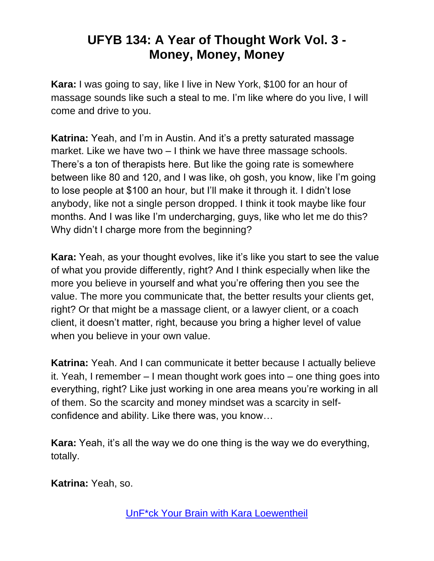**Kara:** I was going to say, like I live in New York, \$100 for an hour of massage sounds like such a steal to me. I'm like where do you live, I will come and drive to you.

**Katrina:** Yeah, and I'm in Austin. And it's a pretty saturated massage market. Like we have two – I think we have three massage schools. There's a ton of therapists here. But like the going rate is somewhere between like 80 and 120, and I was like, oh gosh, you know, like I'm going to lose people at \$100 an hour, but I'll make it through it. I didn't lose anybody, like not a single person dropped. I think it took maybe like four months. And I was like I'm undercharging, guys, like who let me do this? Why didn't I charge more from the beginning?

**Kara:** Yeah, as your thought evolves, like it's like you start to see the value of what you provide differently, right? And I think especially when like the more you believe in yourself and what you're offering then you see the value. The more you communicate that, the better results your clients get, right? Or that might be a massage client, or a lawyer client, or a coach client, it doesn't matter, right, because you bring a higher level of value when you believe in your own value.

**Katrina:** Yeah. And I can communicate it better because I actually believe it. Yeah, I remember – I mean thought work goes into – one thing goes into everything, right? Like just working in one area means you're working in all of them. So the scarcity and money mindset was a scarcity in selfconfidence and ability. Like there was, you know…

**Kara:** Yeah, it's all the way we do one thing is the way we do everything, totally.

**Katrina:** Yeah, so.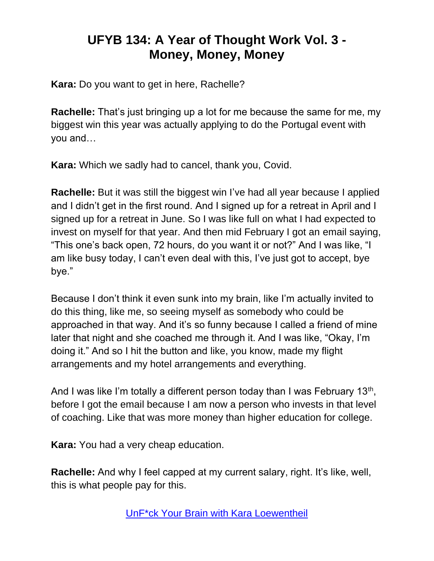**Kara:** Do you want to get in here, Rachelle?

**Rachelle:** That's just bringing up a lot for me because the same for me, my biggest win this year was actually applying to do the Portugal event with you and…

**Kara:** Which we sadly had to cancel, thank you, Covid.

**Rachelle:** But it was still the biggest win I've had all year because I applied and I didn't get in the first round. And I signed up for a retreat in April and I signed up for a retreat in June. So I was like full on what I had expected to invest on myself for that year. And then mid February I got an email saying, "This one's back open, 72 hours, do you want it or not?" And I was like, "I am like busy today, I can't even deal with this, I've just got to accept, bye bye."

Because I don't think it even sunk into my brain, like I'm actually invited to do this thing, like me, so seeing myself as somebody who could be approached in that way. And it's so funny because I called a friend of mine later that night and she coached me through it. And I was like, "Okay, I'm doing it." And so I hit the button and like, you know, made my flight arrangements and my hotel arrangements and everything.

And I was like I'm totally a different person today than I was February 13<sup>th</sup>, before I got the email because I am now a person who invests in that level of coaching. Like that was more money than higher education for college.

**Kara:** You had a very cheap education.

**Rachelle:** And why I feel capped at my current salary, right. It's like, well, this is what people pay for this.

[UnF\\*ck Your Brain with Kara Loewentheil](https://unfuckyourbrain.com/podcast/)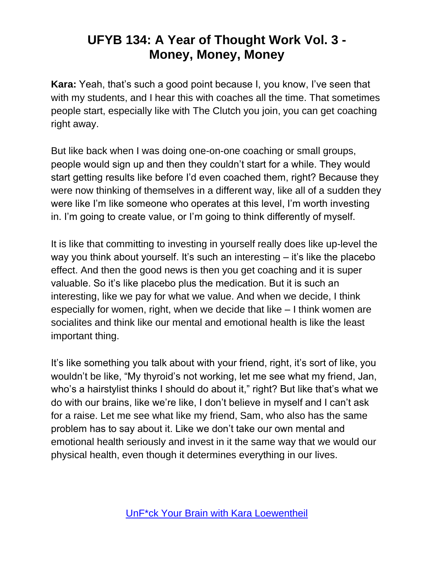**Kara:** Yeah, that's such a good point because I, you know, I've seen that with my students, and I hear this with coaches all the time. That sometimes people start, especially like with The Clutch you join, you can get coaching right away.

But like back when I was doing one-on-one coaching or small groups, people would sign up and then they couldn't start for a while. They would start getting results like before I'd even coached them, right? Because they were now thinking of themselves in a different way, like all of a sudden they were like I'm like someone who operates at this level, I'm worth investing in. I'm going to create value, or I'm going to think differently of myself.

It is like that committing to investing in yourself really does like up-level the way you think about yourself. It's such an interesting – it's like the placebo effect. And then the good news is then you get coaching and it is super valuable. So it's like placebo plus the medication. But it is such an interesting, like we pay for what we value. And when we decide, I think especially for women, right, when we decide that like – I think women are socialites and think like our mental and emotional health is like the least important thing.

It's like something you talk about with your friend, right, it's sort of like, you wouldn't be like, "My thyroid's not working, let me see what my friend, Jan, who's a hairstylist thinks I should do about it," right? But like that's what we do with our brains, like we're like, I don't believe in myself and I can't ask for a raise. Let me see what like my friend, Sam, who also has the same problem has to say about it. Like we don't take our own mental and emotional health seriously and invest in it the same way that we would our physical health, even though it determines everything in our lives.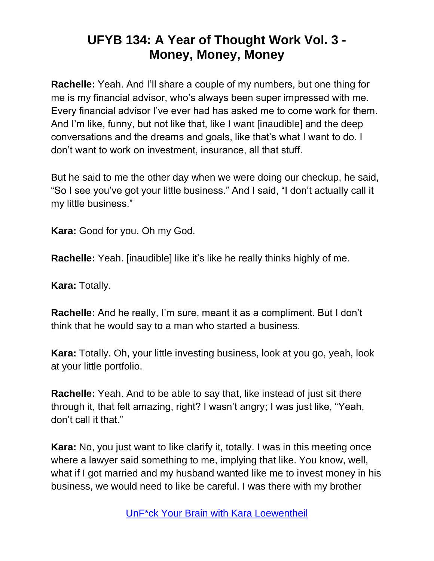**Rachelle:** Yeah. And I'll share a couple of my numbers, but one thing for me is my financial advisor, who's always been super impressed with me. Every financial advisor I've ever had has asked me to come work for them. And I'm like, funny, but not like that, like I want [inaudible] and the deep conversations and the dreams and goals, like that's what I want to do. I don't want to work on investment, insurance, all that stuff.

But he said to me the other day when we were doing our checkup, he said, "So I see you've got your little business." And I said, "I don't actually call it my little business."

**Kara:** Good for you. Oh my God.

**Rachelle:** Yeah. [inaudible] like it's like he really thinks highly of me.

**Kara:** Totally.

**Rachelle:** And he really, I'm sure, meant it as a compliment. But I don't think that he would say to a man who started a business.

**Kara:** Totally. Oh, your little investing business, look at you go, yeah, look at your little portfolio.

**Rachelle:** Yeah. And to be able to say that, like instead of just sit there through it, that felt amazing, right? I wasn't angry; I was just like, "Yeah, don't call it that."

**Kara:** No, you just want to like clarify it, totally. I was in this meeting once where a lawyer said something to me, implying that like. You know, well, what if I got married and my husband wanted like me to invest money in his business, we would need to like be careful. I was there with my brother

[UnF\\*ck Your Brain with Kara Loewentheil](https://unfuckyourbrain.com/podcast/)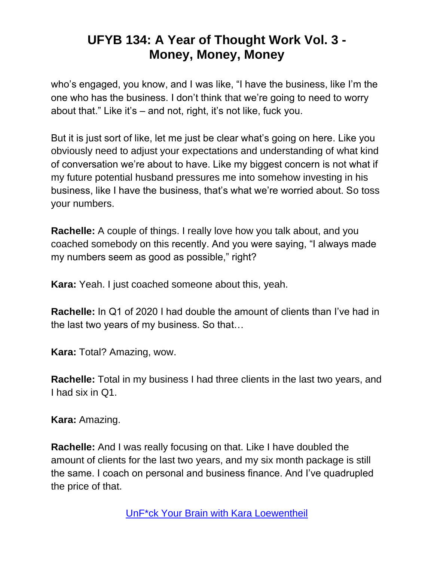who's engaged, you know, and I was like, "I have the business, like I'm the one who has the business. I don't think that we're going to need to worry about that." Like it's – and not, right, it's not like, fuck you.

But it is just sort of like, let me just be clear what's going on here. Like you obviously need to adjust your expectations and understanding of what kind of conversation we're about to have. Like my biggest concern is not what if my future potential husband pressures me into somehow investing in his business, like I have the business, that's what we're worried about. So toss your numbers.

**Rachelle:** A couple of things. I really love how you talk about, and you coached somebody on this recently. And you were saying, "I always made my numbers seem as good as possible," right?

**Kara:** Yeah. I just coached someone about this, yeah.

**Rachelle:** In Q1 of 2020 I had double the amount of clients than I've had in the last two years of my business. So that…

**Kara:** Total? Amazing, wow.

**Rachelle:** Total in my business I had three clients in the last two years, and I had six in Q1.

**Kara:** Amazing.

**Rachelle:** And I was really focusing on that. Like I have doubled the amount of clients for the last two years, and my six month package is still the same. I coach on personal and business finance. And I've quadrupled the price of that.

[UnF\\*ck Your Brain with Kara Loewentheil](https://unfuckyourbrain.com/podcast/)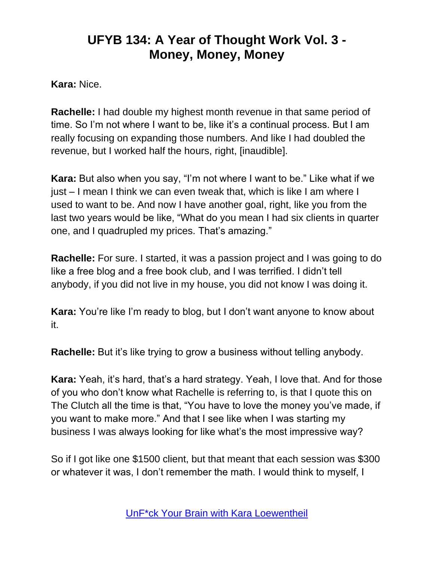**Kara:** Nice.

**Rachelle:** I had double my highest month revenue in that same period of time. So I'm not where I want to be, like it's a continual process. But I am really focusing on expanding those numbers. And like I had doubled the revenue, but I worked half the hours, right, [inaudible].

**Kara:** But also when you say, "I'm not where I want to be." Like what if we just – I mean I think we can even tweak that, which is like I am where I used to want to be. And now I have another goal, right, like you from the last two years would be like, "What do you mean I had six clients in quarter one, and I quadrupled my prices. That's amazing."

**Rachelle:** For sure. I started, it was a passion project and I was going to do like a free blog and a free book club, and I was terrified. I didn't tell anybody, if you did not live in my house, you did not know I was doing it.

**Kara:** You're like I'm ready to blog, but I don't want anyone to know about it.

**Rachelle:** But it's like trying to grow a business without telling anybody.

**Kara:** Yeah, it's hard, that's a hard strategy. Yeah, I love that. And for those of you who don't know what Rachelle is referring to, is that I quote this on The Clutch all the time is that, "You have to love the money you've made, if you want to make more." And that I see like when I was starting my business I was always looking for like what's the most impressive way?

So if I got like one \$1500 client, but that meant that each session was \$300 or whatever it was, I don't remember the math. I would think to myself, I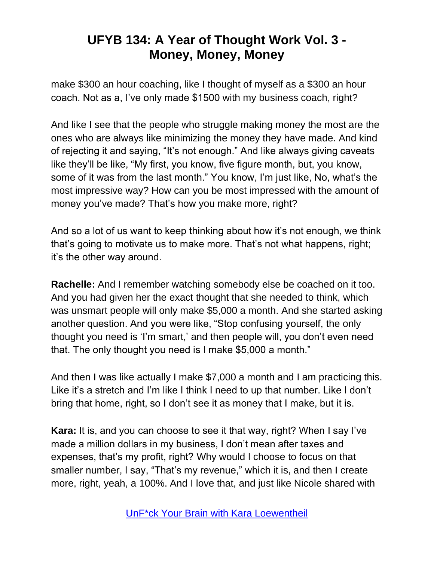make \$300 an hour coaching, like I thought of myself as a \$300 an hour coach. Not as a, I've only made \$1500 with my business coach, right?

And like I see that the people who struggle making money the most are the ones who are always like minimizing the money they have made. And kind of rejecting it and saying, "It's not enough." And like always giving caveats like they'll be like, "My first, you know, five figure month, but, you know, some of it was from the last month." You know, I'm just like, No, what's the most impressive way? How can you be most impressed with the amount of money you've made? That's how you make more, right?

And so a lot of us want to keep thinking about how it's not enough, we think that's going to motivate us to make more. That's not what happens, right; it's the other way around.

**Rachelle:** And I remember watching somebody else be coached on it too. And you had given her the exact thought that she needed to think, which was unsmart people will only make \$5,000 a month. And she started asking another question. And you were like, "Stop confusing yourself, the only thought you need is 'I'm smart,' and then people will, you don't even need that. The only thought you need is I make \$5,000 a month."

And then I was like actually I make \$7,000 a month and I am practicing this. Like it's a stretch and I'm like I think I need to up that number. Like I don't bring that home, right, so I don't see it as money that I make, but it is.

**Kara:** It is, and you can choose to see it that way, right? When I say I've made a million dollars in my business, I don't mean after taxes and expenses, that's my profit, right? Why would I choose to focus on that smaller number, I say, "That's my revenue," which it is, and then I create more, right, yeah, a 100%. And I love that, and just like Nicole shared with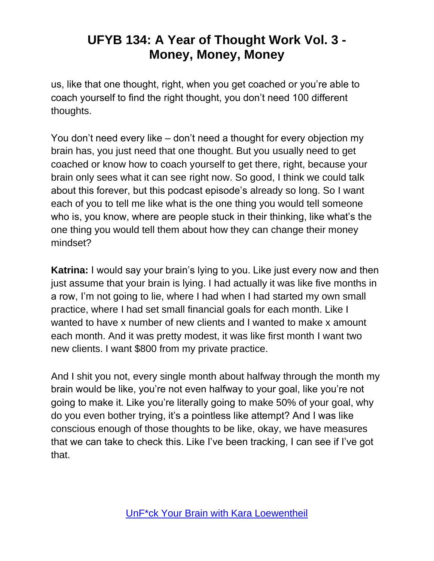us, like that one thought, right, when you get coached or you're able to coach yourself to find the right thought, you don't need 100 different thoughts.

You don't need every like – don't need a thought for every objection my brain has, you just need that one thought. But you usually need to get coached or know how to coach yourself to get there, right, because your brain only sees what it can see right now. So good, I think we could talk about this forever, but this podcast episode's already so long. So I want each of you to tell me like what is the one thing you would tell someone who is, you know, where are people stuck in their thinking, like what's the one thing you would tell them about how they can change their money mindset?

**Katrina:** I would say your brain's lying to you. Like just every now and then just assume that your brain is lying. I had actually it was like five months in a row, I'm not going to lie, where I had when I had started my own small practice, where I had set small financial goals for each month. Like I wanted to have x number of new clients and I wanted to make x amount each month. And it was pretty modest, it was like first month I want two new clients. I want \$800 from my private practice.

And I shit you not, every single month about halfway through the month my brain would be like, you're not even halfway to your goal, like you're not going to make it. Like you're literally going to make 50% of your goal, why do you even bother trying, it's a pointless like attempt? And I was like conscious enough of those thoughts to be like, okay, we have measures that we can take to check this. Like I've been tracking, I can see if I've got that.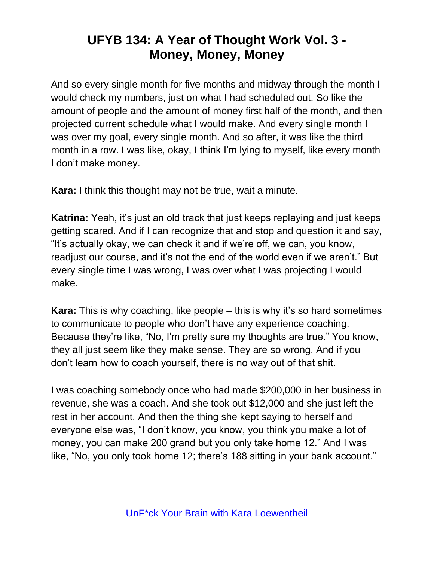And so every single month for five months and midway through the month I would check my numbers, just on what I had scheduled out. So like the amount of people and the amount of money first half of the month, and then projected current schedule what I would make. And every single month I was over my goal, every single month. And so after, it was like the third month in a row. I was like, okay, I think I'm lying to myself, like every month I don't make money.

**Kara:** I think this thought may not be true, wait a minute.

**Katrina:** Yeah, it's just an old track that just keeps replaying and just keeps getting scared. And if I can recognize that and stop and question it and say, "It's actually okay, we can check it and if we're off, we can, you know, readjust our course, and it's not the end of the world even if we aren't." But every single time I was wrong, I was over what I was projecting I would make.

**Kara:** This is why coaching, like people – this is why it's so hard sometimes to communicate to people who don't have any experience coaching. Because they're like, "No, I'm pretty sure my thoughts are true." You know, they all just seem like they make sense. They are so wrong. And if you don't learn how to coach yourself, there is no way out of that shit.

I was coaching somebody once who had made \$200,000 in her business in revenue, she was a coach. And she took out \$12,000 and she just left the rest in her account. And then the thing she kept saying to herself and everyone else was, "I don't know, you know, you think you make a lot of money, you can make 200 grand but you only take home 12." And I was like, "No, you only took home 12; there's 188 sitting in your bank account."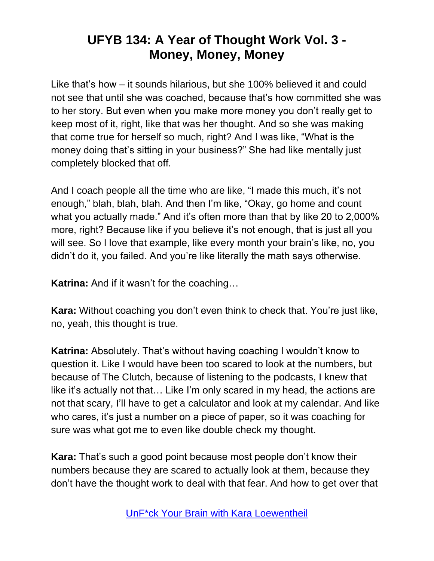Like that's how – it sounds hilarious, but she 100% believed it and could not see that until she was coached, because that's how committed she was to her story. But even when you make more money you don't really get to keep most of it, right, like that was her thought. And so she was making that come true for herself so much, right? And I was like, "What is the money doing that's sitting in your business?" She had like mentally just completely blocked that off.

And I coach people all the time who are like, "I made this much, it's not enough," blah, blah, blah. And then I'm like, "Okay, go home and count what you actually made." And it's often more than that by like 20 to 2,000% more, right? Because like if you believe it's not enough, that is just all you will see. So I love that example, like every month your brain's like, no, you didn't do it, you failed. And you're like literally the math says otherwise.

**Katrina:** And if it wasn't for the coaching…

**Kara:** Without coaching you don't even think to check that. You're just like, no, yeah, this thought is true.

**Katrina:** Absolutely. That's without having coaching I wouldn't know to question it. Like I would have been too scared to look at the numbers, but because of The Clutch, because of listening to the podcasts, I knew that like it's actually not that… Like I'm only scared in my head, the actions are not that scary, I'll have to get a calculator and look at my calendar. And like who cares, it's just a number on a piece of paper, so it was coaching for sure was what got me to even like double check my thought.

**Kara:** That's such a good point because most people don't know their numbers because they are scared to actually look at them, because they don't have the thought work to deal with that fear. And how to get over that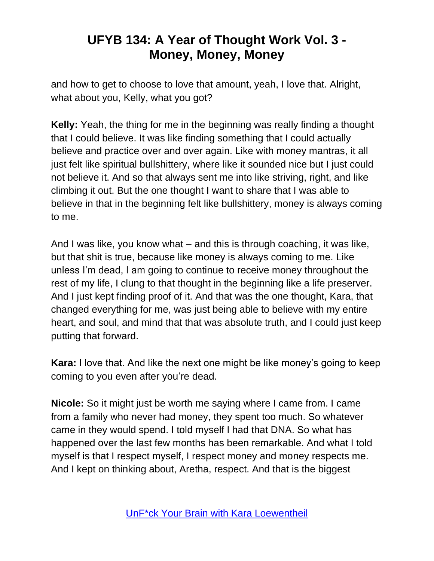and how to get to choose to love that amount, yeah, I love that. Alright, what about you, Kelly, what you got?

**Kelly:** Yeah, the thing for me in the beginning was really finding a thought that I could believe. It was like finding something that I could actually believe and practice over and over again. Like with money mantras, it all just felt like spiritual bullshittery, where like it sounded nice but I just could not believe it. And so that always sent me into like striving, right, and like climbing it out. But the one thought I want to share that I was able to believe in that in the beginning felt like bullshittery, money is always coming to me.

And I was like, you know what – and this is through coaching, it was like, but that shit is true, because like money is always coming to me. Like unless I'm dead, I am going to continue to receive money throughout the rest of my life, I clung to that thought in the beginning like a life preserver. And I just kept finding proof of it. And that was the one thought, Kara, that changed everything for me, was just being able to believe with my entire heart, and soul, and mind that that was absolute truth, and I could just keep putting that forward.

**Kara:** I love that. And like the next one might be like money's going to keep coming to you even after you're dead.

**Nicole:** So it might just be worth me saying where I came from. I came from a family who never had money, they spent too much. So whatever came in they would spend. I told myself I had that DNA. So what has happened over the last few months has been remarkable. And what I told myself is that I respect myself, I respect money and money respects me. And I kept on thinking about, Aretha, respect. And that is the biggest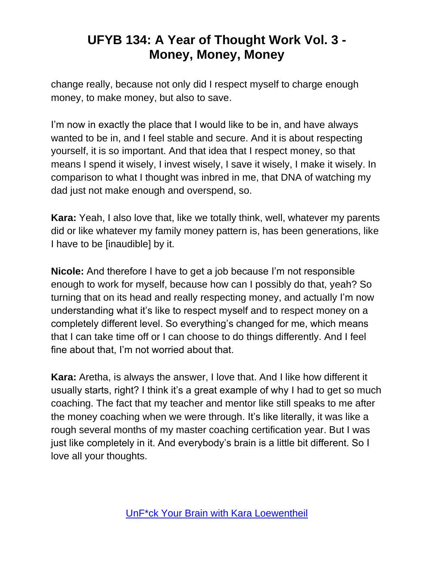change really, because not only did I respect myself to charge enough money, to make money, but also to save.

I'm now in exactly the place that I would like to be in, and have always wanted to be in, and I feel stable and secure. And it is about respecting yourself, it is so important. And that idea that I respect money, so that means I spend it wisely, I invest wisely, I save it wisely, I make it wisely. In comparison to what I thought was inbred in me, that DNA of watching my dad just not make enough and overspend, so.

**Kara:** Yeah, I also love that, like we totally think, well, whatever my parents did or like whatever my family money pattern is, has been generations, like I have to be [inaudible] by it.

**Nicole:** And therefore I have to get a job because I'm not responsible enough to work for myself, because how can I possibly do that, yeah? So turning that on its head and really respecting money, and actually I'm now understanding what it's like to respect myself and to respect money on a completely different level. So everything's changed for me, which means that I can take time off or I can choose to do things differently. And I feel fine about that, I'm not worried about that.

**Kara:** Aretha, is always the answer, I love that. And I like how different it usually starts, right? I think it's a great example of why I had to get so much coaching. The fact that my teacher and mentor like still speaks to me after the money coaching when we were through. It's like literally, it was like a rough several months of my master coaching certification year. But I was just like completely in it. And everybody's brain is a little bit different. So I love all your thoughts.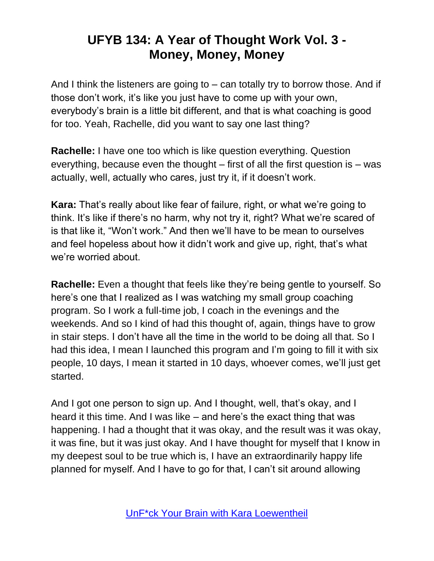And I think the listeners are going to – can totally try to borrow those. And if those don't work, it's like you just have to come up with your own, everybody's brain is a little bit different, and that is what coaching is good for too. Yeah, Rachelle, did you want to say one last thing?

**Rachelle:** I have one too which is like question everything. Question everything, because even the thought – first of all the first question is – was actually, well, actually who cares, just try it, if it doesn't work.

**Kara:** That's really about like fear of failure, right, or what we're going to think. It's like if there's no harm, why not try it, right? What we're scared of is that like it, "Won't work." And then we'll have to be mean to ourselves and feel hopeless about how it didn't work and give up, right, that's what we're worried about.

**Rachelle:** Even a thought that feels like they're being gentle to yourself. So here's one that I realized as I was watching my small group coaching program. So I work a full-time job, I coach in the evenings and the weekends. And so I kind of had this thought of, again, things have to grow in stair steps. I don't have all the time in the world to be doing all that. So I had this idea, I mean I launched this program and I'm going to fill it with six people, 10 days, I mean it started in 10 days, whoever comes, we'll just get started.

And I got one person to sign up. And I thought, well, that's okay, and I heard it this time. And I was like – and here's the exact thing that was happening. I had a thought that it was okay, and the result was it was okay, it was fine, but it was just okay. And I have thought for myself that I know in my deepest soul to be true which is, I have an extraordinarily happy life planned for myself. And I have to go for that, I can't sit around allowing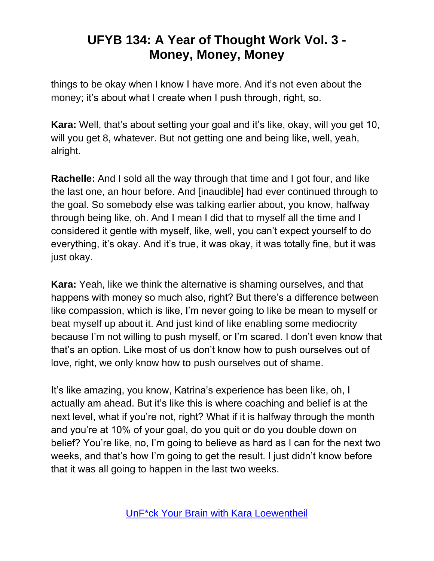things to be okay when I know I have more. And it's not even about the money; it's about what I create when I push through, right, so.

**Kara:** Well, that's about setting your goal and it's like, okay, will you get 10, will you get 8, whatever. But not getting one and being like, well, yeah, alright.

**Rachelle:** And I sold all the way through that time and I got four, and like the last one, an hour before. And [inaudible] had ever continued through to the goal. So somebody else was talking earlier about, you know, halfway through being like, oh. And I mean I did that to myself all the time and I considered it gentle with myself, like, well, you can't expect yourself to do everything, it's okay. And it's true, it was okay, it was totally fine, but it was just okay.

**Kara:** Yeah, like we think the alternative is shaming ourselves, and that happens with money so much also, right? But there's a difference between like compassion, which is like, I'm never going to like be mean to myself or beat myself up about it. And just kind of like enabling some mediocrity because I'm not willing to push myself, or I'm scared. I don't even know that that's an option. Like most of us don't know how to push ourselves out of love, right, we only know how to push ourselves out of shame.

It's like amazing, you know, Katrina's experience has been like, oh, I actually am ahead. But it's like this is where coaching and belief is at the next level, what if you're not, right? What if it is halfway through the month and you're at 10% of your goal, do you quit or do you double down on belief? You're like, no, I'm going to believe as hard as I can for the next two weeks, and that's how I'm going to get the result. I just didn't know before that it was all going to happen in the last two weeks.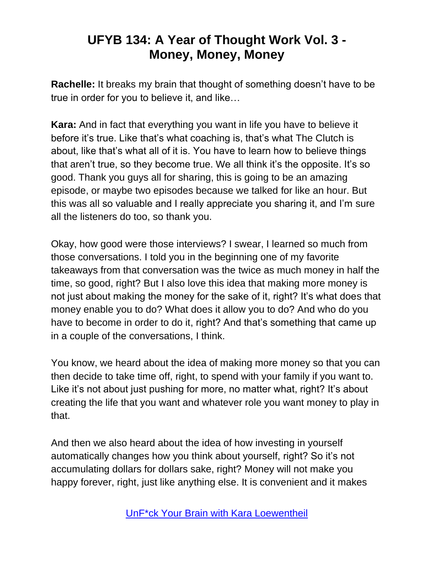**Rachelle:** It breaks my brain that thought of something doesn't have to be true in order for you to believe it, and like…

**Kara:** And in fact that everything you want in life you have to believe it before it's true. Like that's what coaching is, that's what The Clutch is about, like that's what all of it is. You have to learn how to believe things that aren't true, so they become true. We all think it's the opposite. It's so good. Thank you guys all for sharing, this is going to be an amazing episode, or maybe two episodes because we talked for like an hour. But this was all so valuable and I really appreciate you sharing it, and I'm sure all the listeners do too, so thank you.

Okay, how good were those interviews? I swear, I learned so much from those conversations. I told you in the beginning one of my favorite takeaways from that conversation was the twice as much money in half the time, so good, right? But I also love this idea that making more money is not just about making the money for the sake of it, right? It's what does that money enable you to do? What does it allow you to do? And who do you have to become in order to do it, right? And that's something that came up in a couple of the conversations, I think.

You know, we heard about the idea of making more money so that you can then decide to take time off, right, to spend with your family if you want to. Like it's not about just pushing for more, no matter what, right? It's about creating the life that you want and whatever role you want money to play in that.

And then we also heard about the idea of how investing in yourself automatically changes how you think about yourself, right? So it's not accumulating dollars for dollars sake, right? Money will not make you happy forever, right, just like anything else. It is convenient and it makes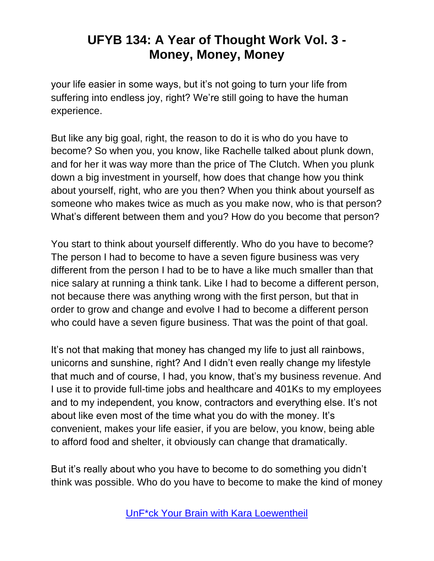your life easier in some ways, but it's not going to turn your life from suffering into endless joy, right? We're still going to have the human experience.

But like any big goal, right, the reason to do it is who do you have to become? So when you, you know, like Rachelle talked about plunk down, and for her it was way more than the price of The Clutch. When you plunk down a big investment in yourself, how does that change how you think about yourself, right, who are you then? When you think about yourself as someone who makes twice as much as you make now, who is that person? What's different between them and you? How do you become that person?

You start to think about yourself differently. Who do you have to become? The person I had to become to have a seven figure business was very different from the person I had to be to have a like much smaller than that nice salary at running a think tank. Like I had to become a different person, not because there was anything wrong with the first person, but that in order to grow and change and evolve I had to become a different person who could have a seven figure business. That was the point of that goal.

It's not that making that money has changed my life to just all rainbows, unicorns and sunshine, right? And I didn't even really change my lifestyle that much and of course, I had, you know, that's my business revenue. And I use it to provide full-time jobs and healthcare and 401Ks to my employees and to my independent, you know, contractors and everything else. It's not about like even most of the time what you do with the money. It's convenient, makes your life easier, if you are below, you know, being able to afford food and shelter, it obviously can change that dramatically.

But it's really about who you have to become to do something you didn't think was possible. Who do you have to become to make the kind of money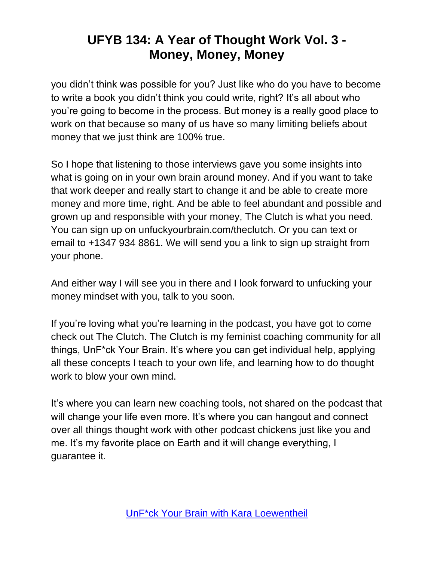you didn't think was possible for you? Just like who do you have to become to write a book you didn't think you could write, right? It's all about who you're going to become in the process. But money is a really good place to work on that because so many of us have so many limiting beliefs about money that we just think are 100% true.

So I hope that listening to those interviews gave you some insights into what is going on in your own brain around money. And if you want to take that work deeper and really start to change it and be able to create more money and more time, right. And be able to feel abundant and possible and grown up and responsible with your money, The Clutch is what you need. You can sign up on unfuckyourbrain.com/theclutch. Or you can text or email to +1347 934 8861. We will send you a link to sign up straight from your phone.

And either way I will see you in there and I look forward to unfucking your money mindset with you, talk to you soon.

If you're loving what you're learning in the podcast, you have got to come check out The Clutch. The Clutch is my feminist coaching community for all things, UnF\*ck Your Brain. It's where you can get individual help, applying all these concepts I teach to your own life, and learning how to do thought work to blow your own mind.

It's where you can learn new coaching tools, not shared on the podcast that will change your life even more. It's where you can hangout and connect over all things thought work with other podcast chickens just like you and me. It's my favorite place on Earth and it will change everything, I guarantee it.